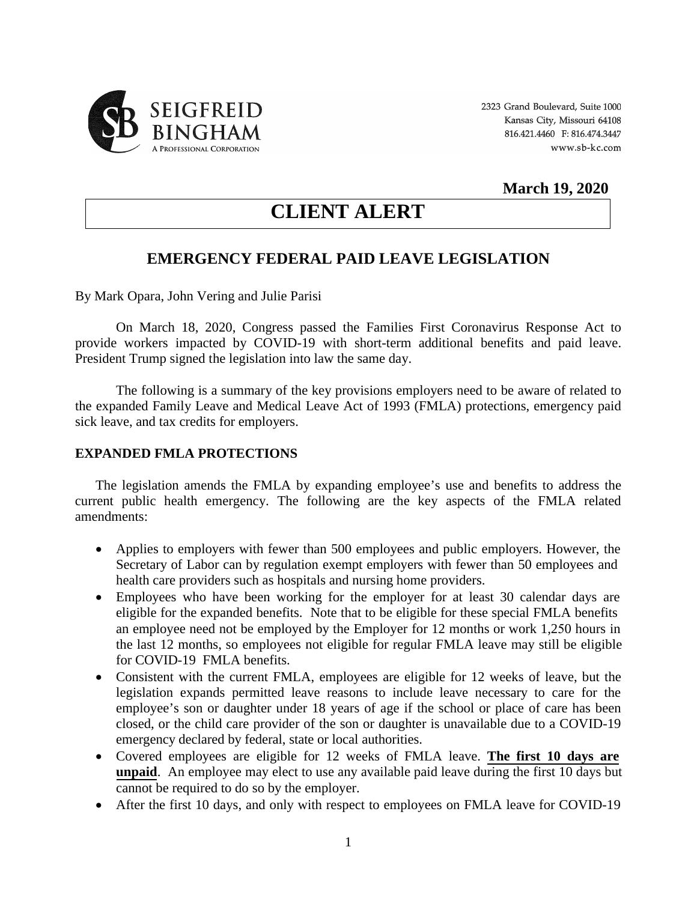

### **March 19, 2020**

# **CLIENT ALERT**

## **EMERGENCY FEDERAL PAID LEAVE LEGISLATION**

By Mark Opara, John Vering and Julie Parisi

On March 18, 2020, Congress passed the Families First Coronavirus Response Act to provide workers impacted by COVID-19 with short-term additional benefits and paid leave. President Trump signed the legislation into law the same day.

The following is a summary of the key provisions employers need to be aware of related to the expanded Family Leave and Medical Leave Act of 1993 (FMLA) protections, emergency paid sick leave, and tax credits for employers.

#### **EXPANDED FMLA PROTECTIONS**

The legislation amends the FMLA by expanding employee's use and benefits to address the current public health emergency. The following are the key aspects of the FMLA related amendments:

- Applies to employers with fewer than 500 employees and public employers. However, the Secretary of Labor can by regulation exempt employers with fewer than 50 employees and health care providers such as hospitals and nursing home providers.
- Employees who have been working for the employer for at least 30 calendar days are eligible for the expanded benefits. Note that to be eligible for these special FMLA benefits an employee need not be employed by the Employer for 12 months or work 1,250 hours in the last 12 months, so employees not eligible for regular FMLA leave may still be eligible for COVID-19 FMLA benefits.
- Consistent with the current FMLA, employees are eligible for 12 weeks of leave, but the legislation expands permitted leave reasons to include leave necessary to care for the employee's son or daughter under 18 years of age if the school or place of care has been closed, or the child care provider of the son or daughter is unavailable due to a COVID-19 emergency declared by federal, state or local authorities.
- Covered employees are eligible for 12 weeks of FMLA leave. **The first 10 days are unpaid**. An employee may elect to use any available paid leave during the first 10 days but cannot be required to do so by the employer.
- After the first 10 days, and only with respect to employees on FMLA leave for COVID-19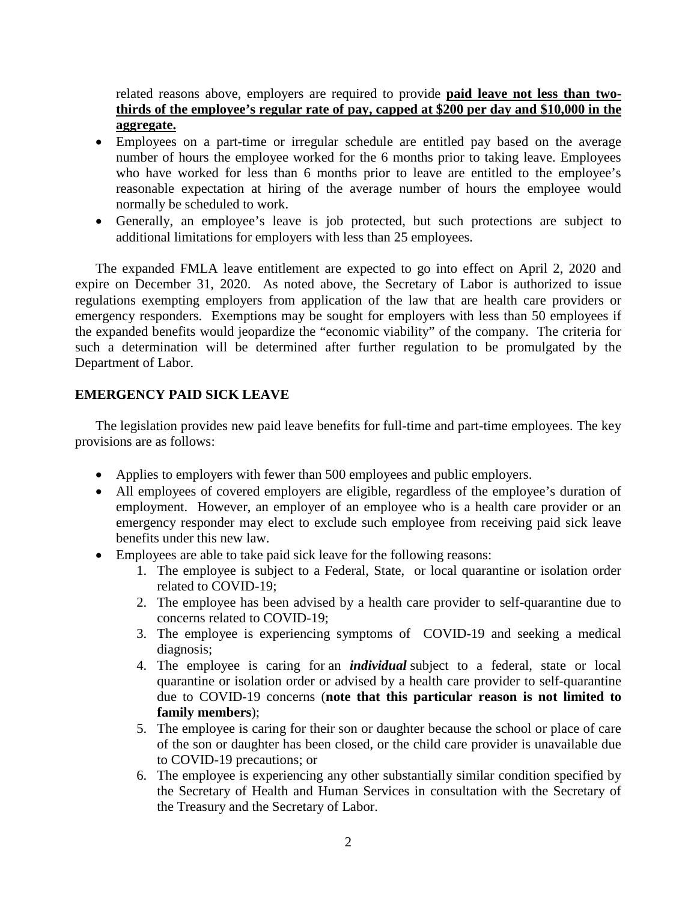related reasons above, employers are required to provide **paid leave not less than twothirds of the employee's regular rate of pay, capped at \$200 per day and \$10,000 in the aggregate.**

- Employees on a part-time or irregular schedule are entitled pay based on the average number of hours the employee worked for the 6 months prior to taking leave. Employees who have worked for less than 6 months prior to leave are entitled to the employee's reasonable expectation at hiring of the average number of hours the employee would normally be scheduled to work.
- Generally, an employee's leave is job protected, but such protections are subject to additional limitations for employers with less than 25 employees.

The expanded FMLA leave entitlement are expected to go into effect on April 2, 2020 and expire on December 31, 2020. As noted above, the Secretary of Labor is authorized to issue regulations exempting employers from application of the law that are health care providers or emergency responders. Exemptions may be sought for employers with less than 50 employees if the expanded benefits would jeopardize the "economic viability" of the company. The criteria for such a determination will be determined after further regulation to be promulgated by the Department of Labor.

#### **EMERGENCY PAID SICK LEAVE**

The legislation provides new paid leave benefits for full-time and part-time employees. The key provisions are as follows:

- Applies to employers with fewer than 500 employees and public employers.
- All employees of covered employers are eligible, regardless of the employee's duration of employment. However, an employer of an employee who is a health care provider or an emergency responder may elect to exclude such employee from receiving paid sick leave benefits under this new law.
- Employees are able to take paid sick leave for the following reasons:
	- 1. The employee is subject to a Federal, State, or local quarantine or isolation order related to COVID-19;
	- 2. The employee has been advised by a health care provider to self-quarantine due to concerns related to COVID-19;
	- 3. The employee is experiencing symptoms of COVID-19 and seeking a medical diagnosis;
	- 4. The employee is caring for an *individual* subject to a federal, state or local quarantine or isolation order or advised by a health care provider to self-quarantine due to COVID-19 concerns (**note that this particular reason is not limited to family members**);
	- 5. The employee is caring for their son or daughter because the school or place of care of the son or daughter has been closed, or the child care provider is unavailable due to COVID-19 precautions; or
	- 6. The employee is experiencing any other substantially similar condition specified by the Secretary of Health and Human Services in consultation with the Secretary of the Treasury and the Secretary of Labor.